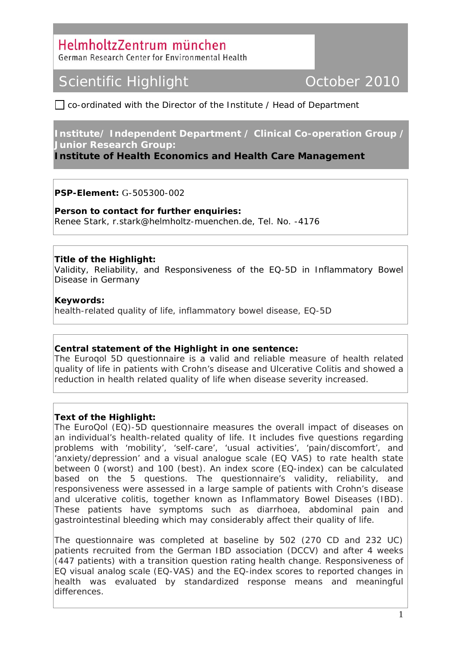### HelmholtzZentrum münchen

German Research Center for Environmental Health

## Scientific Highlight **Communist Communist Communist Communist Communist Communist Communist Communist Communist Communist Communist Communist Communist Communist Communist Communist Communist Communist Communist Communist**

 $\Box$  co-ordinated with the Director of the Institute / Head of Department

#### **Institute/ Independent Department / Clinical Co-operation Group / Junior Research Group:**

**Institute of Health Economics and Health Care Management** 

**PSP-Element:** G-505300-002

**Person to contact for further enquiries:**  Renee Stark, r.stark@helmholtz-muenchen.de, Tel. No. -4176

**Title of the Highlight:** 

Validity, Reliability, and Responsiveness of the EQ-5D in Inflammatory Bowel Disease in Germany

#### **Keywords:**

health-related quality of life, inflammatory bowel disease, EQ-5D

#### **Central statement of the Highlight in one sentence:**

The Euroqol 5D questionnaire is a valid and reliable measure of health related quality of life in patients with Crohn's disease and Ulcerative Colitis and showed a reduction in health related quality of life when disease severity increased.

#### **Text of the Highlight:**

The EuroQol (EQ)-5D questionnaire measures the overall impact of diseases on an individual's health-related quality of life. It includes five questions regarding problems with 'mobility', 'self-care', 'usual activities', 'pain/discomfort', and 'anxiety/depression' and a visual analogue scale (EQ VAS) to rate health state between 0 (worst) and 100 (best). An index score (EQ-index) can be calculated based on the 5 questions. The questionnaire's validity, reliability, and responsiveness were assessed in a large sample of patients with Crohn's disease and ulcerative colitis, together known as Inflammatory Bowel Diseases (IBD). These patients have symptoms such as diarrhoea, abdominal pain and gastrointestinal bleeding which may considerably affect their quality of life.

The questionnaire was completed at baseline by 502 (270 CD and 232 UC) patients recruited from the German IBD association (DCCV) and after 4 weeks (447 patients) with a transition question rating health change. Responsiveness of EQ visual analog scale (EQ-VAS) and the EQ-index scores to reported changes in health was evaluated by standardized response means and meaningful differences.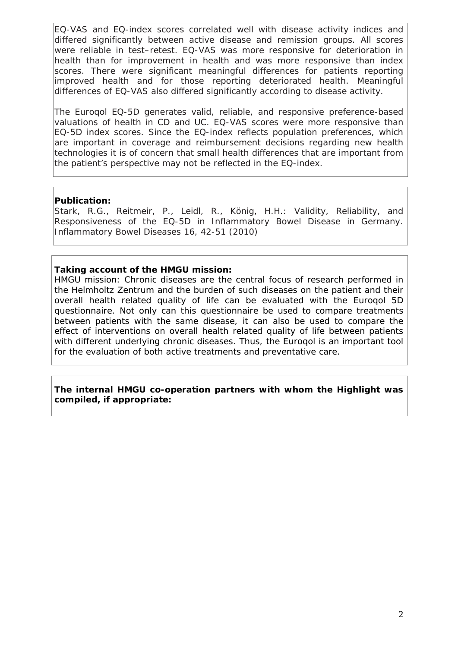EQ-VAS and EQ-index scores correlated well with disease activity indices and differed significantly between active disease and remission groups. All scores were reliable in test–retest. EQ-VAS was more responsive for deterioration in health than for improvement in health and was more responsive than index scores. There were significant meaningful differences for patients reporting improved health and for those reporting deteriorated health. Meaningful differences of EQ-VAS also differed significantly according to disease activity.

The Euroqol EQ-5D generates valid, reliable, and responsive preference-based valuations of health in CD and UC. EQ-VAS scores were more responsive than EQ-5D index scores. Since the EQ-index reflects population preferences, which are important in coverage and reimbursement decisions regarding new health technologies it is of concern that small health differences that are important from the patient's perspective may not be reflected in the EQ-index.

#### **Publication:**

Stark, R.G., Reitmeir, P., Leidl, R., König, H.H.: Validity, Reliability, and Responsiveness of the EQ-5D in Inflammatory Bowel Disease in Germany. Inflammatory Bowel Diseases 16, 42-51 (2010)

#### **Taking account of the HMGU mission:**

HMGU mission: Chronic diseases are the central focus of research performed in the Helmholtz Zentrum and the burden of such diseases on the patient and their overall health related quality of life can be evaluated with the Euroqol 5D questionnaire. Not only can this questionnaire be used to compare treatments between patients with the same disease, it can also be used to compare the effect of interventions on overall health related quality of life between patients with different underlying chronic diseases. Thus, the Euroqol is an important tool for the evaluation of both active treatments and preventative care.

#### **The internal HMGU co-operation partners with whom the Highlight was compiled, if appropriate:**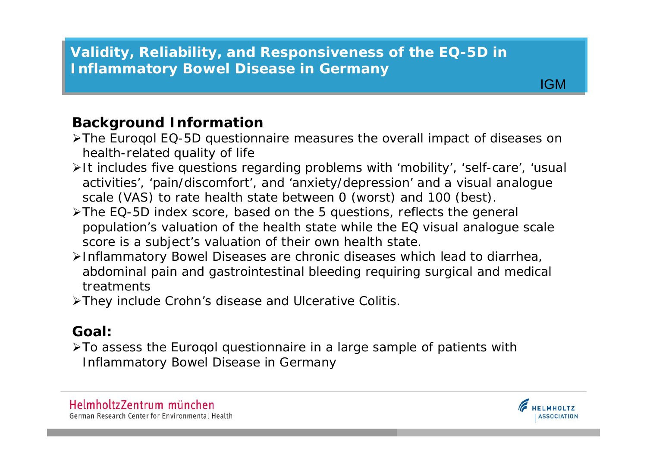# **Validity, Reliability, and Responsiveness of the EQ-5D in Validity, Reliability, and Responsiv e n e s s of the EQ-5D in Inflammatory Bowel Disease in Germany Inflammatory Bowel Disease in Germany**

### **Background Information**

- The Euroqol EQ-5D questionnaire measures the overall impact of diseases on health-related quality of life
- It includes five questions regarding problems with 'mobility', 'self-care', 'usual activities', 'pain/discomfort', and 'anxiety/depression' and a visual analogue scale (VAS) to rate health state between 0 (worst) and 100 (best).
- >The EQ-5D index score, based on the 5 questions, reflects the general population's valuation of the health state while the EQ visual analogue scale score is a subject's valuation of their own health state.
- Inflammatory Bowel Diseases are chronic diseases which lead to diarr hea, abdominal pain and gastrointestinal bleeding requiring surgical and medical treatments
- They include Crohn's disease and Ulcerative Colitis.

## **Goal:**

To assess the Euroqol questionnaire in a large sample of patients with Inflammatory Bowel Disease in Germany





**Institute**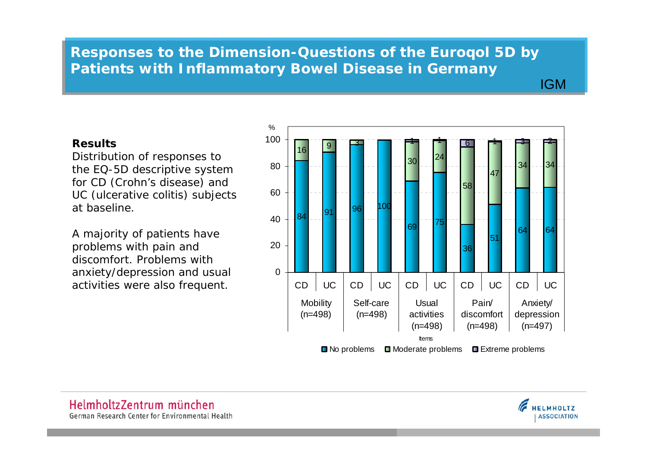# **Responses to the Dimension-Questions of the Euroqol 5D by Responses to the Dimension-Questions of the Euroqol 5D by Patients with Inflammatory Bowel Disease in Germany Patients with Inflammatory Bowel Disease in Germany**

**Institute** 

### **Results**

Distri b ution of responses to the EQ-5D descriptive system for CD (Crohn's disease) and UC (ulcerative colitis) subjects at baseline.

A majority of patients have problem s with pain and discomfort. Problems with anxiety/depression and usual activities were also frequent.

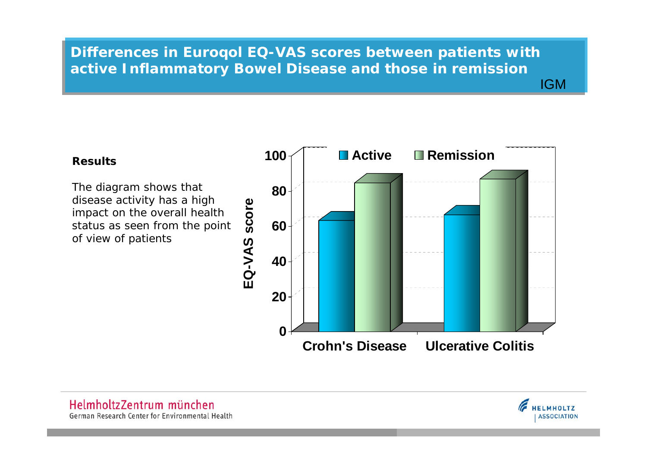# **Differences in Euroqol EQ-VAS scores between patients with Differences in Euroqol EQ-VAS scores between patients with active Inflammatory Bowel Disease and those in remission active Inflammatory Bowel Disease and those in remission**

# **IGM**

### **Results**

The diagram shows that disease activity has a high impact on the overall health status as seen from the point of view of patients



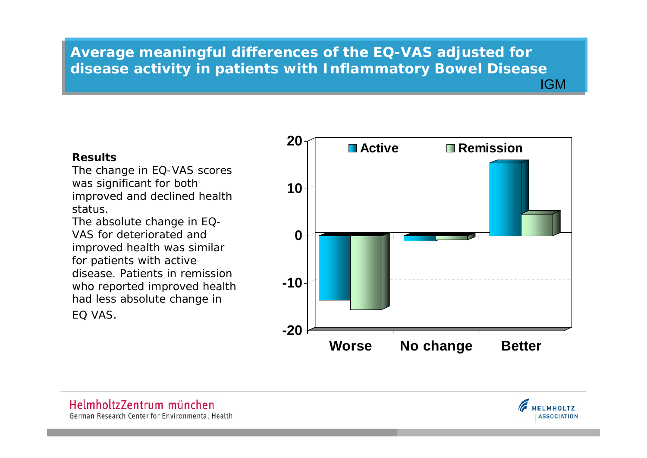### **IGM Average meaningful differences of the EQ-VAS adjusted for Average meaningful differences of the EQ-VAS adjusted for disease activity in patients with Inflammatory Bowel Disease disease activity in patients with Inflammatory Bowel Disease**

### **Results**

The c hang e in EQ-VAS scores was significant for both improved and declined health status.

The absolute change in EQ-VAS for deteriorated and improved health was similar for patients with active disease. Patients in remission w ho re p orte d im proved health had l ess absol ute chang e in EQ VAS.